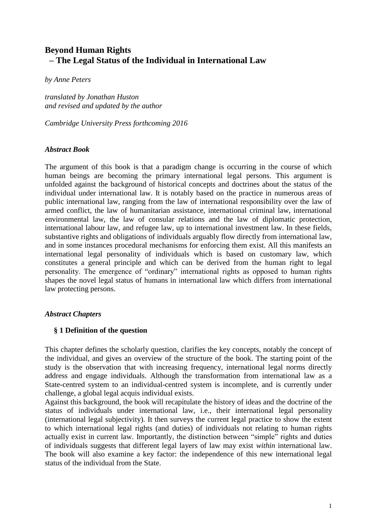# **Beyond Human Rights – The Legal Status of the Individual in International Law**

*by Anne Peters*

*translated by Jonathan Huston and revised and updated by the author* 

*Cambridge University Press forthcoming 2016*

#### *Abstract Book*

The argument of this book is that a paradigm change is occurring in the course of which human beings are becoming the primary international legal persons. This argument is unfolded against the background of historical concepts and doctrines about the status of the individual under international law. It is notably based on the practice in numerous areas of public international law, ranging from the law of international responsibility over the law of armed conflict, the law of humanitarian assistance, international criminal law, international environmental law, the law of consular relations and the law of diplomatic protection, international labour law, and refugee law, up to international investment law. In these fields, substantive rights and obligations of individuals arguably flow directly from international law, and in some instances procedural mechanisms for enforcing them exist. All this manifests an international legal personality of individuals which is based on customary law, which constitutes a general principle and which can be derived from the human right to legal personality. The emergence of "ordinary" international rights as opposed to human rights shapes the novel legal status of humans in international law which differs from international law protecting persons.

### *Abstract Chapters*

### **§ 1 Definition of the question**

This chapter defines the scholarly question, clarifies the key concepts, notably the concept of the individual, and gives an overview of the structure of the book. The starting point of the study is the observation that with increasing frequency, international legal norms directly address and engage individuals. Although the transformation from international law as a State-centred system to an individual-centred system is incomplete, and is currently under challenge, a global legal acquis individual exists.

Against this background, the book will recapitulate the history of ideas and the doctrine of the status of individuals under international law, i.e., their international legal personality (international legal subjectivity). It then surveys the current legal practice to show the extent to which international legal rights (and duties) of individuals not relating to human rights actually exist in current law. Importantly, the distinction between "simple" rights and duties of individuals suggests that different legal layers of law may exist *within* international law. The book will also examine a key factor: the independence of this new international legal status of the individual from the State.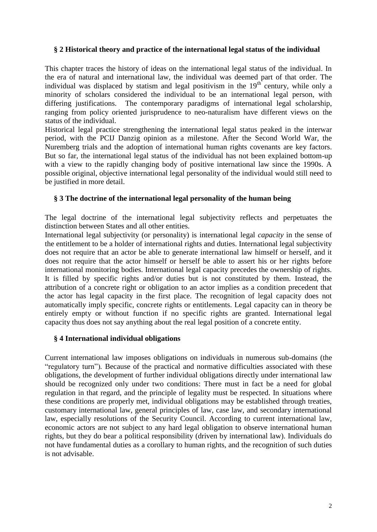#### **§ 2 Historical theory and practice of the international legal status of the individual**

This chapter traces the history of ideas on the international legal status of the individual. In the era of natural and international law, the individual was deemed part of that order. The individual was displaced by statism and legal positivism in the  $19<sup>th</sup>$  century, while only a minority of scholars considered the individual to be an international legal person, with differing justifications. The contemporary paradigms of international legal scholarship, ranging from policy oriented jurisprudence to neo-naturalism have different views on the status of the individual.

Historical legal practice strengthening the international legal status peaked in the interwar period, with the PCIJ Danzig opinion as a milestone. After the Second World War, the Nuremberg trials and the adoption of international human rights covenants are key factors. But so far, the international legal status of the individual has not been explained bottom-up with a view to the rapidly changing body of positive international law since the 1990s. A possible original, objective international legal personality of the individual would still need to be justified in more detail.

### **§ 3 The doctrine of the international legal personality of the human being**

The legal doctrine of the international legal subjectivity reflects and perpetuates the distinction between States and all other entities.

International legal subjectivity (or personality) is international legal *capacity* in the sense of the entitlement to be a holder of international rights and duties. International legal subjectivity does not require that an actor be able to generate international law himself or herself, and it does not require that the actor himself or herself be able to assert his or her rights before international monitoring bodies. International legal capacity precedes the ownership of rights. It is filled by specific rights and/or duties but is not constituted by them. Instead, the attribution of a concrete right or obligation to an actor implies as a condition precedent that the actor has legal capacity in the first place. The recognition of legal capacity does not automatically imply specific, concrete rights or entitlements. Legal capacity can in theory be entirely empty or without function if no specific rights are granted. International legal capacity thus does not say anything about the real legal position of a concrete entity.

#### **§ 4 International individual obligations**

Current international law imposes obligations on individuals in numerous sub-domains (the "regulatory turn")*.* Because of the practical and normative difficulties associated with these obligations, the development of further individual obligations directly under international law should be recognized only under two conditions: There must in fact be a need for global regulation in that regard, and the principle of legality must be respected. In situations where these conditions are properly met, individual obligations may be established through treaties, customary international law, general principles of law, case law, and secondary international law, especially resolutions of the Security Council. According to current international law, economic actors are not subject to any hard legal obligation to observe international human rights, but they do bear a political responsibility (driven by international law). Individuals do not have fundamental duties as a corollary to human rights, and the recognition of such duties is not advisable.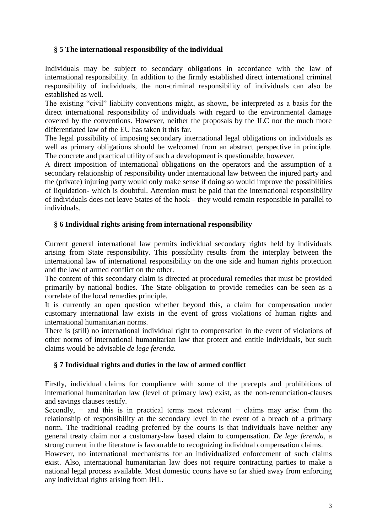# **§ 5 The international responsibility of the individual**

Individuals may be subject to secondary obligations in accordance with the law of international responsibility. In addition to the firmly established direct international criminal responsibility of individuals, the non-criminal responsibility of individuals can also be established as well.

The existing "civil" liability conventions might, as shown, be interpreted as a basis for the direct international responsibility of individuals with regard to the environmental damage covered by the conventions. However, neither the proposals by the ILC nor the much more differentiated law of the EU has taken it this far.

The legal possibility of imposing secondary international legal obligations on individuals as well as primary obligations should be welcomed from an abstract perspective in principle. The concrete and practical utility of such a development is questionable, however.

A direct imposition of international obligations on the operators and the assumption of a secondary relationship of responsibility under international law between the injured party and the (private) injuring party would only make sense if doing so would improve the possibilities of liquidation- which is doubtful. Attention must be paid that the international responsibility of individuals does not leave States of the hook – they would remain responsible in parallel to individuals.

### **§ 6 Individual rights arising from international responsibility**

Current general international law permits individual secondary rights held by individuals arising from State responsibility. This possibility results from the interplay between the international law of international responsibility on the one side and human rights protection and the law of armed conflict on the other.

The content of this secondary claim is directed at procedural remedies that must be provided primarily by national bodies. The State obligation to provide remedies can be seen as a correlate of the local remedies principle.

It is currently an open question whether beyond this, a claim for compensation under customary international law exists in the event of gross violations of human rights and international humanitarian norms.

There is (still) no international individual right to compensation in the event of violations of other norms of international humanitarian law that protect and entitle individuals, but such claims would be advisable *de lege ferenda.*

#### **§ 7 Individual rights and duties in the law of armed conflict**

Firstly, individual claims for compliance with some of the precepts and prohibitions of international humanitarian law (level of primary law) exist, as the non-renunciation-clauses and savings clauses testify.

Secondly,  $-$  and this is in practical terms most relevant  $-$  claims may arise from the relationship of responsibility at the secondary level in the event of a breach of a primary norm. The traditional reading preferred by the courts is that individuals have neither any general treaty claim nor a customary-law based claim to compensation. *De lege ferenda,* a strong current in the literature is favourable to recognizing individual compensation claims.

However, no international mechanisms for an individualized enforcement of such claims exist. Also, international humanitarian law does not require contracting parties to make a national legal process available. Most domestic courts have so far shied away from enforcing any individual rights arising from IHL.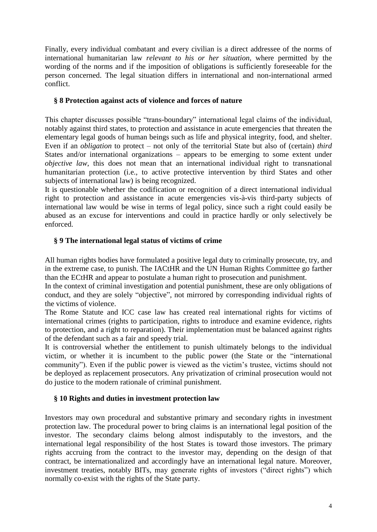Finally, every individual combatant and every civilian is a direct addressee of the norms of international humanitarian law *relevant to his or her situation*, where permitted by the wording of the norms and if the imposition of obligations is sufficiently foreseeable for the person concerned. The legal situation differs in international and non-international armed conflict.

### **§ 8 Protection against acts of violence and forces of nature**

This chapter discusses possible "trans-boundary" international legal claims of the individual, notably against third states, to protection and assistance in acute emergencies that threaten the elementary legal goods of human beings such as life and physical integrity, food, and shelter. Even if an *obligation* to protect – not only of the territorial State but also of (certain) *third* States and/or international organizations – appears to be emerging to some extent under *objective law*, this does not mean that an international individual right to transnational humanitarian protection (i.e., to active protective intervention by third States and other subjects of international law) is being recognized.

It is questionable whether the codification or recognition of a direct international individual right to protection and assistance in acute emergencies vis-à-vis third-party subjects of international law would be wise in terms of legal policy, since such a right could easily be abused as an excuse for interventions and could in practice hardly or only selectively be enforced.

### **§ 9 The international legal status of victims of crime**

All human rights bodies have formulated a positive legal duty to criminally prosecute, try, and in the extreme case, to punish. The IACtHR and the UN Human Rights Committee go farther than the ECtHR and appear to postulate a human right to prosecution and punishment.

In the context of criminal investigation and potential punishment, these are only obligations of conduct, and they are solely "objective", not mirrored by corresponding individual rights of the victims of violence.

The Rome Statute and ICC case law has created real international rights for victims of international crimes (rights to participation, rights to introduce and examine evidence, rights to protection, and a right to reparation). Their implementation must be balanced against rights of the defendant such as a fair and speedy trial.

It is controversial whether the entitlement to punish ultimately belongs to the individual victim, or whether it is incumbent to the public power (the State or the "international community"). Even if the public power is viewed as the victim's trustee, victims should not be deployed as replacement prosecutors. Any privatization of criminal prosecution would not do justice to the modern rationale of criminal punishment.

### **§ 10 Rights and duties in investment protection law**

Investors may own procedural and substantive primary and secondary rights in investment protection law. The procedural power to bring claims is an international legal position of the investor. The secondary claims belong almost indisputably to the investors, and the international legal responsibility of the host States is toward those investors. The primary rights accruing from the contract to the investor may, depending on the design of that contract, be internationalized and accordingly have an international legal nature. Moreover, investment treaties, notably BITs, may generate rights of investors ("direct rights") which normally co-exist with the rights of the State party.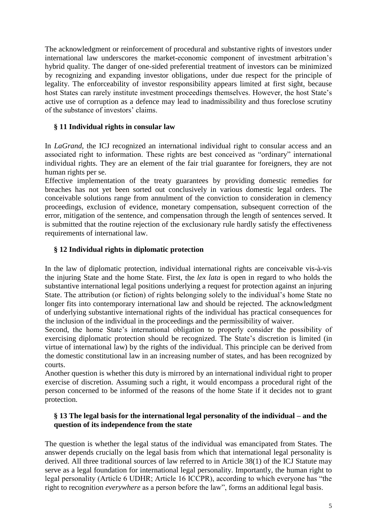The acknowledgment or reinforcement of procedural and substantive rights of investors under international law underscores the market-economic component of investment arbitration's hybrid quality. The danger of one-sided preferential treatment of investors can be minimized by recognizing and expanding investor obligations, under due respect for the principle of legality. The enforceability of investor responsibility appears limited at first sight, because host States can rarely institute investment proceedings themselves. However, the host State's active use of corruption as a defence may lead to inadmissibility and thus foreclose scrutiny of the substance of investors' claims.

## **§ 11 Individual rights in consular law**

In *LaGrand*, the ICJ recognized an international individual right to consular access and an associated right to information. These rights are best conceived as "ordinary" international individual rights. They are an element of the fair trial guarantee for foreigners, they are not human rights per se.

Effective implementation of the treaty guarantees by providing domestic remedies for breaches has not yet been sorted out conclusively in various domestic legal orders. The conceivable solutions range from annulment of the conviction to consideration in clemency proceedings, exclusion of evidence, monetary compensation, subsequent correction of the error, mitigation of the sentence, and compensation through the length of sentences served. It is submitted that the routine rejection of the exclusionary rule hardly satisfy the effectiveness requirements of international law.

# **§ 12 Individual rights in diplomatic protection**

In the law of diplomatic protection, individual international rights are conceivable vis-à-vis the injuring State and the home State. First, the *lex lata* is open in regard to who holds the substantive international legal positions underlying a request for protection against an injuring State. The attribution (or fiction) of rights belonging solely to the individual's home State no longer fits into contemporary international law and should be rejected. The acknowledgment of underlying substantive international rights of the individual has practical consequences for the inclusion of the individual in the proceedings and the permissibility of waiver.

Second, the home State's international obligation to properly consider the possibility of exercising diplomatic protection should be recognized. The State's discretion is limited (in virtue of international law) by the rights of the individual. This principle can be derived from the domestic constitutional law in an increasing number of states, and has been recognized by courts.

Another question is whether this duty is mirrored by an international individual right to proper exercise of discretion. Assuming such a right, it would encompass a procedural right of the person concerned to be informed of the reasons of the home State if it decides not to grant protection.

### **§ 13 The legal basis for the international legal personality of the individual – and the question of its independence from the state**

The question is whether the legal status of the individual was emancipated from States. The answer depends crucially on the legal basis from which that international legal personality is derived. All three traditional sources of law referred to in Article 38(1) of the ICJ Statute may serve as a legal foundation for international legal personality. Importantly, the human right to legal personality (Article 6 UDHR; Article 16 ICCPR), according to which everyone has "the right to recognition *everywhere* as a person before the law", forms an additional legal basis.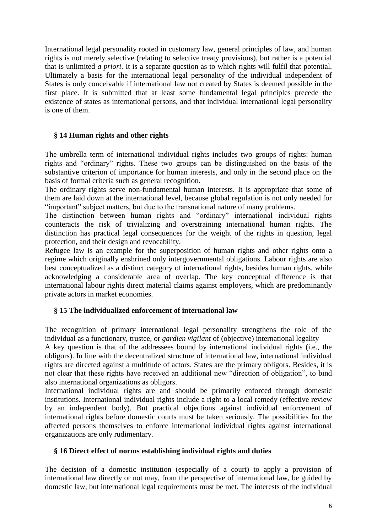International legal personality rooted in customary law, general principles of law, and human rights is not merely selective (relating to selective treaty provisions), but rather is a potential that is unlimited *a priori*. It is a separate question as to which rights will fulfil that potential. Ultimately a basis for the international legal personality of the individual independent of States is only conceivable if international law not created by States is deemed possible in the first place. It is submitted that at least some fundamental legal principles precede the existence of states as international persons, and that individual international legal personality is one of them.

### **§ 14 Human rights and other rights**

The umbrella term of international individual rights includes two groups of rights: human rights and "ordinary" rights. These two groups can be distinguished on the basis of the substantive criterion of importance for human interests, and only in the second place on the basis of formal criteria such as general recognition.

The ordinary rights serve non-fundamental human interests. It is appropriate that some of them are laid down at the international level, because global regulation is not only needed for "important" subject matters, but due to the transnational nature of many problems.

The distinction between human rights and "ordinary" international individual rights counteracts the risk of trivializing and overstraining international human rights. The distinction has practical legal consequences for the weight of the rights in question, legal protection, and their design and revocability.

Refugee law is an example for the superposition of human rights and other rights onto a regime which originally enshrined only intergovernmental obligations. Labour rights are also best conceptualized as a distinct category of international rights, besides human rights, while acknowledging a considerable area of overlap. The key conceptual difference is that international labour rights direct material claims against employers, which are predominantly private actors in market economies.

### **§ 15 The individualized enforcement of international law**

The recognition of primary international legal personality strengthens the role of the individual as a functionary, trustee, or *gardien vigilant* of (objective) international legality

A key question is that of the addressees bound by international individual rights (i.e., the obligors). In line with the decentralized structure of international law, international individual rights are directed against a multitude of actors. States are the primary obligors. Besides, it is not clear that these rights have received an additional new "direction of obligation", to bind also international organizations as obligors.

International individual rights are and should be primarily enforced through domestic institutions. International individual rights include a right to a local remedy (effective review by an independent body). But practical objections against individual enforcement of international rights before domestic courts must be taken seriously. The possibilities for the affected persons themselves to enforce international individual rights against international organizations are only rudimentary.

### **§ 16 Direct effect of norms establishing individual rights and duties**

The decision of a domestic institution (especially of a court) to apply a provision of international law directly or not may, from the perspective of international law, be guided by domestic law, but international legal requirements must be met. The interests of the individual